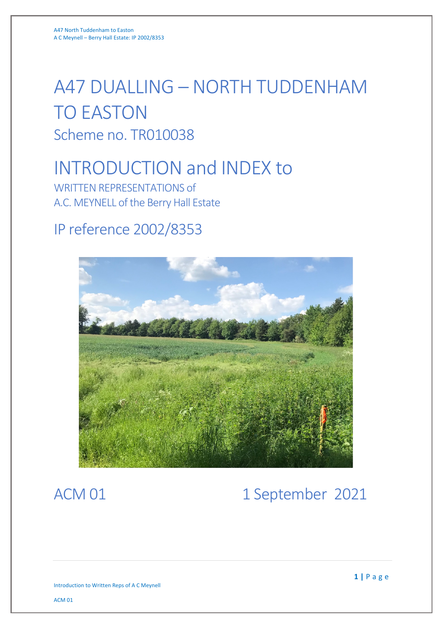# A47 DUALLING – NORTH TUDDENHAM TO EASTON Scheme no. TR010038

# INTRODUCTION and INDEX to

WRITTEN REPRESENTATIONS of A.C. MEYNELL of the Berry Hall Estate

### IP reference 2002/8353



## ACM 01 1 September 2021

Introduction to Written Reps of A C Meynell

ACM 01

**1 |** Page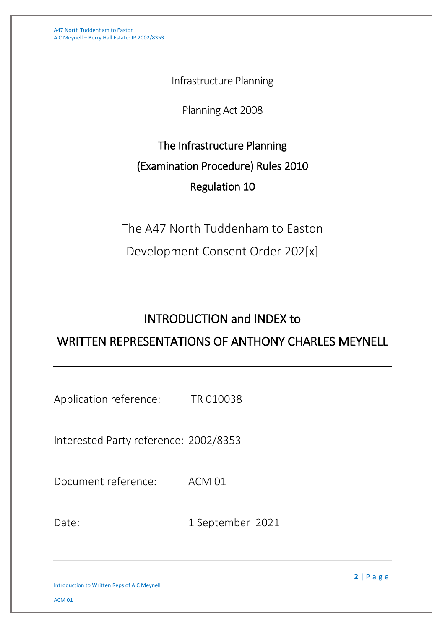A47 North Tuddenham to Easton A C Meynell – Berry Hall Estate: IP 2002/8353

Infrastructure Planning

Planning Act 2008

The Infrastructure Planning (Examination Procedure) Rules 2010 Regulation 10

The A47 North Tuddenham to Easton

Development Consent Order 202[x]

### INTRODUCTION and INDEX to

#### WRITTEN REPRESENTATIONS OF ANTHONY CHARLES MEYNELL

Application reference: TR 010038

Interested Party reference: 2002/8353

Document reference: ACM 01

Date: 1 September 2021

**2 |** Page

Introduction to Written Reps of A C Meynell

ACM 01